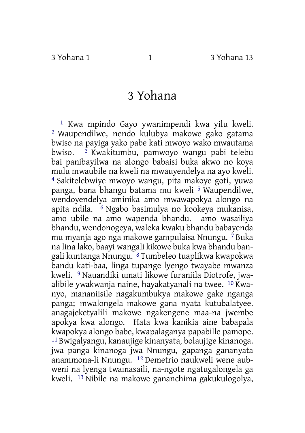## 3 Yohana

1 Kwa mpindo Gayo ywanimpendi kwa yilu kweli. 2 Waupendilwe, nendo kulubya makowe gako gatama bwiso na payiga yako pabe kati mwoyo wako mwautama bwiso. 3 Kwakitumbu, pamwoyo wangu pabi telebu bai panibayilwa na alongo babaisi buka akwo no koya mulu mwaubile na kweli na mwauyendelya na ayo kweli. 4 Sakitelebwiye mwoyo wangu, pita makoye goti, yuwa panga, bana bhangu batama mu kweli 5 Waupendilwe, wendoyendelya aminika amo mwawapokya alongo na apita ndila. 6 Ngabo basimulya no kookeya mukanisa, amo ubile na amo wapenda bhandu. amo wasailiya bhandu, wendonogeya, waleka kwaku bhandu babayenda mu myanja ago nga makowe gampulaisa Nnungu. 7 Buka na lina lako, baayi wangali kikowe buka kwa bhandu bangali kuntanga Nnungu. 8 Tumbeleo tuaplikwa kwapokwa bandu kati-baa, linga tupange lyengo twayabe mwanza kweli. 9 Nauandiki umati likowe furaniila Diotrofe, jwaalibile ywakwanja naine, hayakatyanali na twee. 10 Kwanyo, mananiisile nagakumbukya makowe gake nganga panga; mwalongela makowe gana nyata kutubalatyee. anagajeketyalili makowe ngakengene maa-na jwembe apokya kwa alongo. Hata kwa kanikia aine babapala kwapokya alongo babe, kwapalaganya papabille pamope. 11 Bwigalyangu, kanaujige kinanyata, bolaujige kinanoga. jwa panga kinanoga jwa Nnungu, gapanga gananyata anammona-li Nnungu. 12 Demetrio naukweli wene aubweni na lyenga twamasaili, na-ngote ngatugalongela ga kweli. 13 Nibile na makowe gananchima gakukulogolya,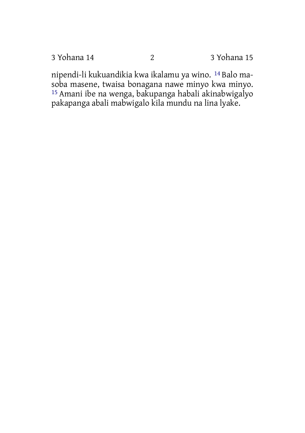3 Yohana 14 2 3 Yohana 15

nipendi-li kukuandikia kwa ikalamu ya wino. 14 Balo masoba masene, twaisa bonagana nawe minyo kwa minyo. 15 Amani ibe na wenga, bakupanga habali akinabwigalyo pakapanga abali mabwigalo kila mundu na lina lyake.